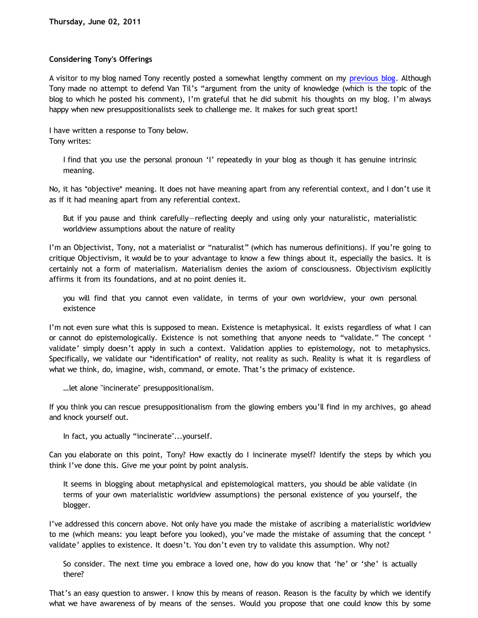## **Considering Tony's Offerings**

A visitor to my blog named Tony recently posted a somewhat lengthy comment on my [previous blog](http://bahnsenburner.blogspot.com/2011/05/argument-from-unity-of-knowledge.html). Although Tony made no attempt to defend Van Til's "argument from the unity of knowledge (which is the topic of the blog to which he posted his comment), I'm grateful that he did submit his thoughts on my blog. I'm always happy when new presuppositionalists seek to challenge me. It makes for such great sport!

I have written a response to Tony below. Tony writes:

I find that you use the personal pronoun 'I' repeatedly in your blog as though it has genuine intrinsic meaning.

No, it has \*objective\* meaning. It does not have meaning apart from any referential context, and I don't use it as if it had meaning apart from any referential context.

But if you pause and think carefully—reflecting deeply and using only your naturalistic, materialistic worldview assumptions about the nature of reality

I'm an Objectivist, Tony, not a materialist or "naturalist" (which has numerous definitions). If you're going to critique Objectivism, it would be to your advantage to know a few things about it, especially the basics. It is certainly not a form of materialism. Materialism denies the axiom of consciousness. Objectivism explicitly affirms it from its foundations, and at no point denies it.

you will find that you cannot even validate, in terms of your own worldview, your own personal existence

I'm not even sure what this is supposed to mean. Existence is metaphysical. It exists regardless of what I can or cannot do epistemologically. Existence is not something that anyone needs to "validate." The concept ' validate' simply doesn't apply in such a context. Validation applies to epistemology, not to metaphysics. Specifically, we validate our \*identification\* of reality, not reality as such. Reality is what it is regardless of what we think, do, imagine, wish, command, or emote. That's the primacy of existence.

…let alone "incinerate" presuppositionalism.

If you think you can rescue presuppositionalism from the glowing embers you'll find in my archives, go ahead and knock yourself out.

In fact, you actually "incinerate"...yourself.

Can you elaborate on this point, Tony? How exactly do I incinerate myself? Identify the steps by which you think I've done this. Give me your point by point analysis.

It seems in blogging about metaphysical and epistemological matters, you should be able validate (in terms of your own materialistic worldview assumptions) the personal existence of you yourself, the blogger.

I've addressed this concern above. Not only have you made the mistake of ascribing a materialistic worldview to me (which means: you leapt before you looked), you've made the mistake of assuming that the concept ' validate' applies to existence. It doesn't. You don't even try to validate this assumption. Why not?

So consider. The next time you embrace a loved one, how do you know that 'he' or 'she' is actually there?

That's an easy question to answer. I know this by means of reason. Reason is the faculty by which we identify what we have awareness of by means of the senses. Would you propose that one could know this by some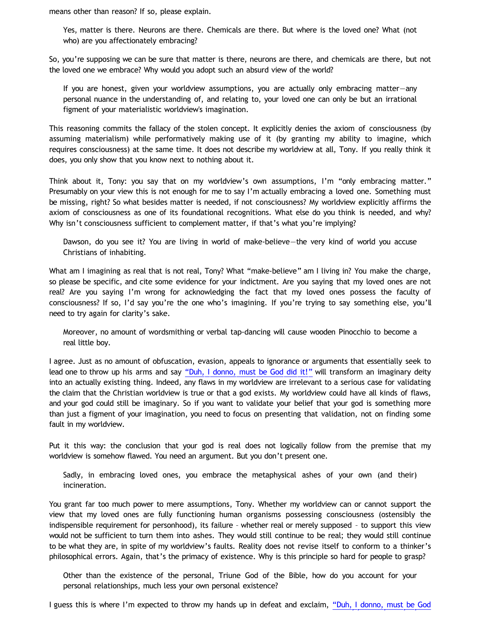means other than reason? If so, please explain.

Yes, matter is there. Neurons are there. Chemicals are there. But where is the loved one? What (not who) are you affectionately embracing?

So, you're supposing we can be sure that matter is there, neurons are there, and chemicals are there, but not the loved one we embrace? Why would you adopt such an absurd view of the world?

If you are honest, given your worldview assumptions, you are actually only embracing matter—any personal nuance in the understanding of, and relating to, your loved one can only be but an irrational figment of your materialistic worldview's imagination.

This reasoning commits the fallacy of the stolen concept. It explicitly denies the axiom of consciousness (by assuming materialism) while performatively making use of it (by granting my ability to imagine, which requires consciousness) at the same time. It does not describe my worldview at all, Tony. If you really think it does, you only show that you know next to nothing about it.

Think about it, Tony: you say that on my worldview's own assumptions, I'm "only embracing matter." Presumably on your view this is not enough for me to say I'm actually embracing a loved one. Something must be missing, right? So what besides matter is needed, if not consciousness? My worldview explicitly affirms the axiom of consciousness as one of its foundational recognitions. What else do you think is needed, and why? Why isn't consciousness sufficient to complement matter, if that's what you're implying?

Dawson, do you see it? You are living in world of make-believe—the very kind of world you accuse Christians of inhabiting.

What am I imagining as real that is not real, Tony? What "make-believe" am I living in? You make the charge, so please be specific, and cite some evidence for your indictment. Are you saying that my loved ones are not real? Are you saying I'm wrong for acknowledging the fact that my loved ones possess the faculty of consciousness? If so, I'd say you're the one who's imagining. If you're trying to say something else, you'll need to try again for clarity's sake.

Moreover, no amount of wordsmithing or verbal tap-dancing will cause wooden Pinocchio to become a real little boy.

I agree. Just as no amount of obfuscation, evasion, appeals to ignorance or arguments that essentially seek to lead one to throw up his arms and say ["Duh, I donno, must be God did it!"](http://www.katholon.com/duh15.wav) will transform an imaginary deity into an actually existing thing. Indeed, any flaws in my worldview are irrelevant to a serious case for validating the claim that the Christian worldview is true or that a god exists. My worldview could have all kinds of flaws, and your god could still be imaginary. So if you want to validate your belief that your god is something more than just a figment of your imagination, you need to focus on presenting that validation, not on finding some fault in my worldview.

Put it this way: the conclusion that your god is real does not logically follow from the premise that my worldview is somehow flawed. You need an argument. But you don't present one.

Sadly, in embracing loved ones, you embrace the metaphysical ashes of your own (and their) incineration.

You grant far too much power to mere assumptions, Tony. Whether my worldview can or cannot support the view that my loved ones are fully functioning human organisms possessing consciousness (ostensibly the indispensible requirement for personhood), its failure – whether real or merely supposed – to support this view would not be sufficient to turn them into ashes. They would still continue to be real; they would still continue to be what they are, in spite of my worldview's faults. Reality does not revise itself to conform to a thinker's philosophical errors. Again, that's the primacy of existence. Why is this principle so hard for people to grasp?

Other than the existence of the personal, Triune God of the Bible, how do you account for your personal relationships, much less your own personal existence?

I guess this is where I'm expected to throw my hands up in defeat and exclaim, ["Duh, I donno, must be God](http://www.katholon.com/duh15.wav)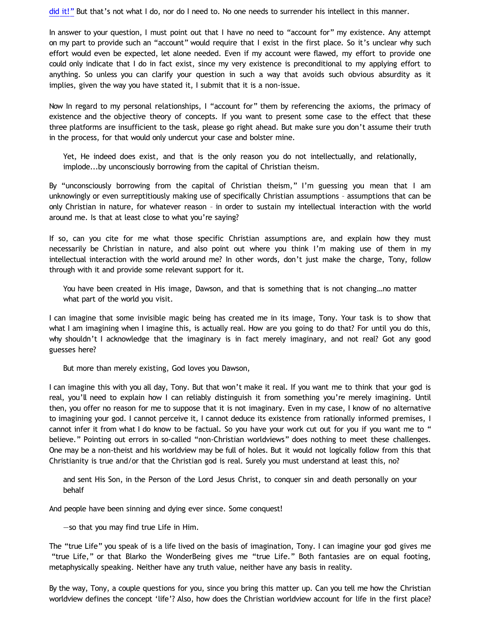[did it!"](http://www.katholon.com/duh15.wav) But that's not what I do, nor do I need to. No one needs to surrender his intellect in this manner.

In answer to your question, I must point out that I have no need to "account for" my existence. Any attempt on my part to provide such an "account" would require that I exist in the first place. So it's unclear why such effort would even be expected, let alone needed. Even if my account were flawed, my effort to provide one could only indicate that I do in fact exist, since my very existence is preconditional to my applying effort to anything. So unless you can clarify your question in such a way that avoids such obvious absurdity as it implies, given the way you have stated it, I submit that it is a non-issue.

Now In regard to my personal relationships, I "account for" them by referencing the axioms, the primacy of existence and the objective theory of concepts. If you want to present some case to the effect that these three platforms are insufficient to the task, please go right ahead. But make sure you don't assume their truth in the process, for that would only undercut your case and bolster mine.

Yet, He indeed does exist, and that is the only reason you do not intellectually, and relationally, implode...by unconsciously borrowing from the capital of Christian theism.

By "unconsciously borrowing from the capital of Christian theism," I'm guessing you mean that I am unknowingly or even surreptitiously making use of specifically Christian assumptions – assumptions that can be only Christian in nature, for whatever reason – in order to sustain my intellectual interaction with the world around me. Is that at least close to what you're saying?

If so, can you cite for me what those specific Christian assumptions are, and explain how they must necessarily be Christian in nature, and also point out where you think I'm making use of them in my intellectual interaction with the world around me? In other words, don't just make the charge, Tony, follow through with it and provide some relevant support for it.

You have been created in His image, Dawson, and that is something that is not changing…no matter what part of the world you visit.

I can imagine that some invisible magic being has created me in its image, Tony. Your task is to show that what I am imagining when I imagine this, is actually real. How are you going to do that? For until you do this, why shouldn't I acknowledge that the imaginary is in fact merely imaginary, and not real? Got any good guesses here?

But more than merely existing, God loves you Dawson,

I can imagine this with you all day, Tony. But that won't make it real. If you want me to think that your god is real, you'll need to explain how I can reliably distinguish it from something you're merely imagining. Until then, you offer no reason for me to suppose that it is not imaginary. Even in my case, I know of no alternative to imagining your god. I cannot perceive it, I cannot deduce its existence from rationally informed premises, I cannot infer it from what I do know to be factual. So you have your work cut out for you if you want me to " believe." Pointing out errors in so-called "non-Christian worldviews" does nothing to meet these challenges. One may be a non-theist and his worldview may be full of holes. But it would not logically follow from this that Christianity is true and/or that the Christian god is real. Surely you must understand at least this, no?

and sent His Son, in the Person of the Lord Jesus Christ, to conquer sin and death personally on your behalf

And people have been sinning and dying ever since. Some conquest!

—so that you may find true Life in Him.

The "true Life" you speak of is a life lived on the basis of imagination, Tony. I can imagine your god gives me "true Life," or that Blarko the WonderBeing gives me "true Life." Both fantasies are on equal footing, metaphysically speaking. Neither have any truth value, neither have any basis in reality.

By the way, Tony, a couple questions for you, since you bring this matter up. Can you tell me how the Christian worldview defines the concept 'life'? Also, how does the Christian worldview account for life in the first place?